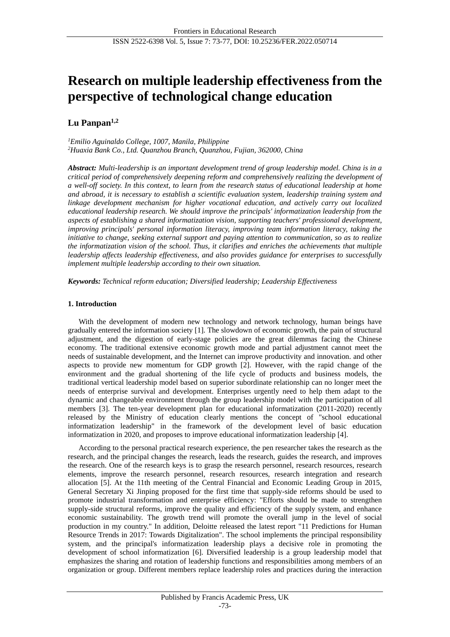# **Research on multiple leadership effectiveness from the perspective of technological change education**

## **Lu Panpan1,2**

*<sup>1</sup>Emilio Aguinaldo College, 1007, Manila, Philippine <sup>2</sup>Huaxia Bank Co., Ltd. Quanzhou Branch, Quanzhou, Fujian, 362000, China*

*Abstract: Multi-leadership is an important development trend of group leadership model. China is in a critical period of comprehensively deepening reform and comprehensively realizing the development of a well-off society. In this context, to learn from the research status of educational leadership at home and abroad, it is necessary to establish a scientific evaluation system, leadership training system and linkage development mechanism for higher vocational education, and actively carry out localized educational leadership research. We should improve the principals' informatization leadership from the aspects of establishing a shared informatization vision, supporting teachers' professional development, improving principals' personal information literacy, improving team information literacy, taking the initiative to change, seeking external support and paying attention to communication, so as to realize the informatization vision of the school. Thus, it clarifies and enriches the achievements that multiple leadership affects leadership effectiveness, and also provides guidance for enterprises to successfully implement multiple leadership according to their own situation.*

*Keywords: Technical reform education; Diversified leadership; Leadership Effectiveness*

## **1. Introduction**

With the development of modern new technology and network technology, human beings have gradually entered the information society [1]. The slowdown of economic growth, the pain of structural adjustment, and the digestion of early-stage policies are the great dilemmas facing the Chinese economy. The traditional extensive economic growth mode and partial adjustment cannot meet the needs of sustainable development, and the Internet can improve productivity and innovation. and other aspects to provide new momentum for GDP growth [2]. However, with the rapid change of the environment and the gradual shortening of the life cycle of products and business models, the traditional vertical leadership model based on superior subordinate relationship can no longer meet the needs of enterprise survival and development. Enterprises urgently need to help them adapt to the dynamic and changeable environment through the group leadership model with the participation of all members [3]. The ten-year development plan for educational informatization (2011-2020) recently released by the Ministry of education clearly mentions the concept of "school educational informatization leadership" in the framework of the development level of basic education informatization in 2020, and proposes to improve educational informatization leadership [4].

According to the personal practical research experience, the pen researcher takes the research as the research, and the principal changes the research, leads the research, guides the research, and improves the research. One of the research keys is to grasp the research personnel, research resources, research elements, improve the research personnel, research resources, research integration and research allocation [5]. At the 11th meeting of the Central Financial and Economic Leading Group in 2015, General Secretary Xi Jinping proposed for the first time that supply-side reforms should be used to promote industrial transformation and enterprise efficiency: "Efforts should be made to strengthen supply-side structural reforms, improve the quality and efficiency of the supply system, and enhance economic sustainability. The growth trend will promote the overall jump in the level of social production in my country." In addition, Deloitte released the latest report "11 Predictions for Human Resource Trends in 2017: Towards Digitalization". The school implements the principal responsibility system, and the principal's informatization leadership plays a decisive role in promoting the development of school informatization [6]. Diversified leadership is a group leadership model that emphasizes the sharing and rotation of leadership functions and responsibilities among members of an organization or group. Different members replace leadership roles and practices during the interaction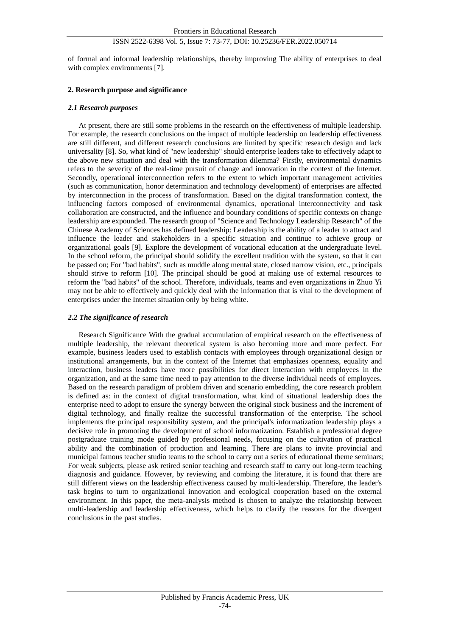## ISSN 2522-6398 Vol. 5, Issue 7: 73-77, DOI: 10.25236/FER.2022.050714

of formal and informal leadership relationships, thereby improving The ability of enterprises to deal with complex environments [7].

## **2. Research purpose and significance**

#### *2.1 Research purposes*

At present, there are still some problems in the research on the effectiveness of multiple leadership. For example, the research conclusions on the impact of multiple leadership on leadership effectiveness are still different, and different research conclusions are limited by specific research design and lack universality [8]. So, what kind of "new leadership" should enterprise leaders take to effectively adapt to the above new situation and deal with the transformation dilemma? Firstly, environmental dynamics refers to the severity of the real-time pursuit of change and innovation in the context of the Internet. Secondly, operational interconnection refers to the extent to which important management activities (such as communication, honor determination and technology development) of enterprises are affected by interconnection in the process of transformation. Based on the digital transformation context, the influencing factors composed of environmental dynamics, operational interconnectivity and task collaboration are constructed, and the influence and boundary conditions of specific contexts on change leadership are expounded. The research group of "Science and Technology Leadership Research" of the Chinese Academy of Sciences has defined leadership: Leadership is the ability of a leader to attract and influence the leader and stakeholders in a specific situation and continue to achieve group or organizational goals [9]. Explore the development of vocational education at the undergraduate level. In the school reform, the principal should solidify the excellent tradition with the system, so that it can be passed on; For "bad habits", such as muddle along mental state, closed narrow vision, etc., principals should strive to reform [10]. The principal should be good at making use of external resources to reform the "bad habits" of the school. Therefore, individuals, teams and even organizations in Zhuo Yi may not be able to effectively and quickly deal with the information that is vital to the development of enterprises under the Internet situation only by being white.

## *2.2 The significance of research*

Research Significance With the gradual accumulation of empirical research on the effectiveness of multiple leadership, the relevant theoretical system is also becoming more and more perfect. For example, business leaders used to establish contacts with employees through organizational design or institutional arrangements, but in the context of the Internet that emphasizes openness, equality and interaction, business leaders have more possibilities for direct interaction with employees in the organization, and at the same time need to pay attention to the diverse individual needs of employees. Based on the research paradigm of problem driven and scenario embedding, the core research problem is defined as: in the context of digital transformation, what kind of situational leadership does the enterprise need to adopt to ensure the synergy between the original stock business and the increment of digital technology, and finally realize the successful transformation of the enterprise. The school implements the principal responsibility system, and the principal's informatization leadership plays a decisive role in promoting the development of school informatization. Establish a professional degree postgraduate training mode guided by professional needs, focusing on the cultivation of practical ability and the combination of production and learning. There are plans to invite provincial and municipal famous teacher studio teams to the school to carry out a series of educational theme seminars; For weak subjects, please ask retired senior teaching and research staff to carry out long-term teaching diagnosis and guidance. However, by reviewing and combing the literature, it is found that there are still different views on the leadership effectiveness caused by multi-leadership. Therefore, the leader's task begins to turn to organizational innovation and ecological cooperation based on the external environment. In this paper, the meta-analysis method is chosen to analyze the relationship between multi-leadership and leadership effectiveness, which helps to clarify the reasons for the divergent conclusions in the past studies.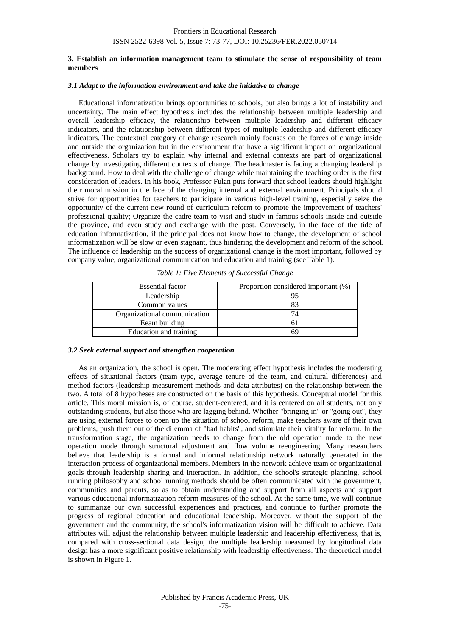## ISSN 2522-6398 Vol. 5, Issue 7: 73-77, DOI: 10.25236/FER.2022.050714

#### **3. Establish an information management team to stimulate the sense of responsibility of team members**

#### *3.1 Adapt to the information environment and take the initiative to change*

Educational informatization brings opportunities to schools, but also brings a lot of instability and uncertainty. The main effect hypothesis includes the relationship between multiple leadership and overall leadership efficacy, the relationship between multiple leadership and different efficacy indicators, and the relationship between different types of multiple leadership and different efficacy indicators. The contextual category of change research mainly focuses on the forces of change inside and outside the organization but in the environment that have a significant impact on organizational effectiveness. Scholars try to explain why internal and external contexts are part of organizational change by investigating different contexts of change. The headmaster is facing a changing leadership background. How to deal with the challenge of change while maintaining the teaching order is the first consideration of leaders. In his book, Professor Fulan puts forward that school leaders should highlight their moral mission in the face of the changing internal and external environment. Principals should strive for opportunities for teachers to participate in various high-level training, especially seize the opportunity of the current new round of curriculum reform to promote the improvement of teachers' professional quality; Organize the cadre team to visit and study in famous schools inside and outside the province, and even study and exchange with the post. Conversely, in the face of the tide of education informatization, if the principal does not know how to change, the development of school informatization will be slow or even stagnant, thus hindering the development and reform of the school. The influence of leadership on the success of organizational change is the most important, followed by company value, organizational communication and education and training (see Table 1).

| <b>Essential factor</b>      | Proportion considered important (%) |
|------------------------------|-------------------------------------|
| Leadership                   |                                     |
| Common values                |                                     |
| Organizational communication |                                     |
| Eeam building                |                                     |
| Education and training       |                                     |

*Table 1: Five Elements of Successful Change*

#### *3.2 Seek external support and strengthen cooperation*

As an organization, the school is open. The moderating effect hypothesis includes the moderating effects of situational factors (team type, average tenure of the team, and cultural differences) and method factors (leadership measurement methods and data attributes) on the relationship between the two. A total of 8 hypotheses are constructed on the basis of this hypothesis. Conceptual model for this article. This moral mission is, of course, student-centered, and it is centered on all students, not only outstanding students, but also those who are lagging behind. Whether "bringing in" or "going out", they are using external forces to open up the situation of school reform, make teachers aware of their own problems, push them out of the dilemma of "bad habits", and stimulate their vitality for reform. In the transformation stage, the organization needs to change from the old operation mode to the new operation mode through structural adjustment and flow volume reengineering. Many researchers believe that leadership is a formal and informal relationship network naturally generated in the interaction process of organizational members. Members in the network achieve team or organizational goals through leadership sharing and interaction. In addition, the school's strategic planning, school running philosophy and school running methods should be often communicated with the government, communities and parents, so as to obtain understanding and support from all aspects and support various educational informatization reform measures of the school. At the same time, we will continue to summarize our own successful experiences and practices, and continue to further promote the progress of regional education and educational leadership. Moreover, without the support of the government and the community, the school's informatization vision will be difficult to achieve. Data attributes will adjust the relationship between multiple leadership and leadership effectiveness, that is, compared with cross-sectional data design, the multiple leadership measured by longitudinal data design has a more significant positive relationship with leadership effectiveness. The theoretical model is shown in Figure 1.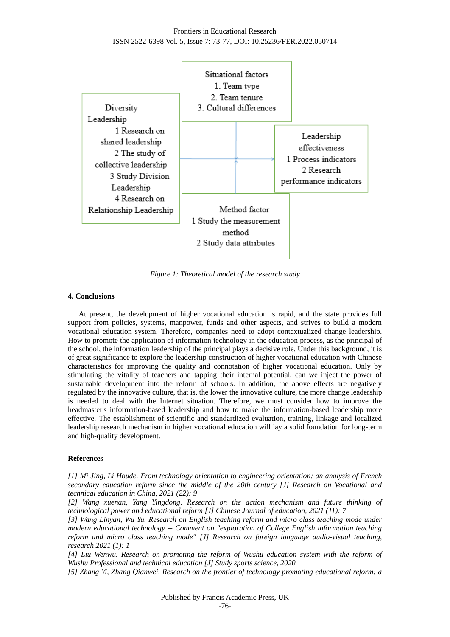

*Figure 1: Theoretical model of the research study*

## **4. Conclusions**

At present, the development of higher vocational education is rapid, and the state provides full support from policies, systems, manpower, funds and other aspects, and strives to build a modern vocational education system. Therefore, companies need to adopt contextualized change leadership. How to promote the application of information technology in the education process, as the principal of the school, the information leadership of the principal plays a decisive role. Under this background, it is of great significance to explore the leadership construction of higher vocational education with Chinese characteristics for improving the quality and connotation of higher vocational education. Only by stimulating the vitality of teachers and tapping their internal potential, can we inject the power of sustainable development into the reform of schools. In addition, the above effects are negatively regulated by the innovative culture, that is, the lower the innovative culture, the more change leadership is needed to deal with the Internet situation. Therefore, we must consider how to improve the headmaster's information-based leadership and how to make the information-based leadership more effective. The establishment of scientific and standardized evaluation, training, linkage and localized leadership research mechanism in higher vocational education will lay a solid foundation for long-term and high-quality development.

#### **References**

*[1] Mi Jing, Li Houde. From technology orientation to engineering orientation: an analysis of French secondary education reform since the middle of the 20th century [J] Research on Vocational and technical education in China, 2021 (22): 9*

*[2] Wang xuenan, Yang Yingdong. Research on the action mechanism and future thinking of technological power and educational reform [J] Chinese Journal of education, 2021 (11): 7*

*[3] Wang Linyan, Wu Yu. Research on English teaching reform and micro class teaching mode under modern educational technology -- Comment on "exploration of College English information teaching reform and micro class teaching mode" [J] Research on foreign language audio-visual teaching, research 2021 (1): 1*

*[4] Liu Wenwu. Research on promoting the reform of Wushu education system with the reform of Wushu Professional and technical education [J] Study sports science, 2020*

*[5] Zhang Yi, Zhang Qianwei. Research on the frontier of technology promoting educational reform: a*